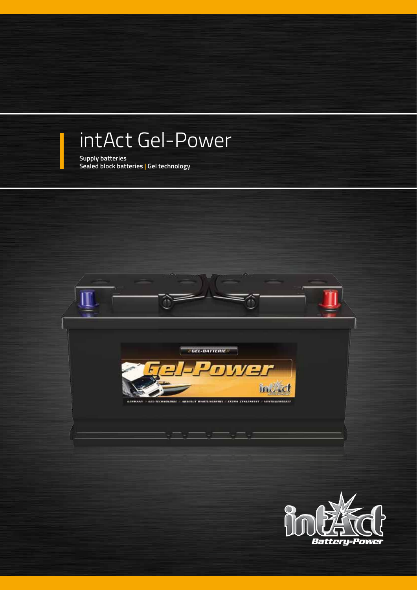## intAct Gel-Power

**Supply batteries Sealed block batteries | Gel technology**